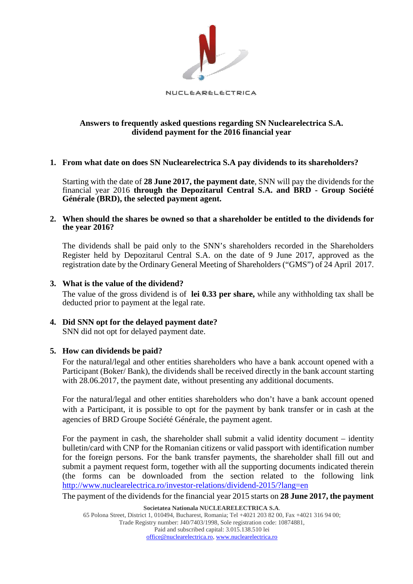

# **Answers to frequently asked questions regarding SN Nuclearelectrica S.A. dividend payment for the 2016 financial year**

# **1. From what date on does SN Nuclearelectrica S.A pay dividends to its shareholders?**

Starting with the date of **28 June 2017, the payment date**, SNN will pay the dividends for the financial year 2016 **through the Depozitarul Central S.A. and BRD - Group Société Générale (BRD), the selected payment agent.** 

# **2. When should the shares be owned so that a shareholder be entitled to the dividends for the year 2016?**

The dividends shall be paid only to the SNN's shareholders recorded in the Shareholders Register held by Depozitarul Central S.A. on the date of 9 June 2017, approved as the registration date by the Ordinary General Meeting of Shareholders ("GMS") of 24 April 2017.

# **3. What is the value of the dividend?**

The value of the gross dividend is of **lei 0.33 per share,** while any withholding tax shall be deducted prior to payment at the legal rate.

# **4. Did SNN opt for the delayed payment date?**

SNN did not opt for delayed payment date.

# **5. How can dividends be paid?**

For the natural/legal and other entities shareholders who have a bank account opened with a Participant (Boker/ Bank), the dividends shall be received directly in the bank account starting with 28.06.2017, the payment date, without presenting any additional documents.

For the natural/legal and other entities shareholders who don't have a bank account opened with a Participant, it is possible to opt for the payment by bank transfer or in cash at the agencies of BRD Groupe Société Générale, the payment agent.

For the payment in cash, the shareholder shall submit a valid identity document – identity bulletin/card with CNP for the Romanian citizens or valid passport with identification number for the foreign persons. For the bank transfer payments, the shareholder shall fill out and submit a payment request form, together with all the supporting documents indicated therein (the forms can be downloaded from the section related to the following link <http://www.nuclearelectrica.ro/investor-relations/dividend-2015/?lang=en>

The payment of the dividends for the financial year 2015 starts on **28 June 2017, the payment**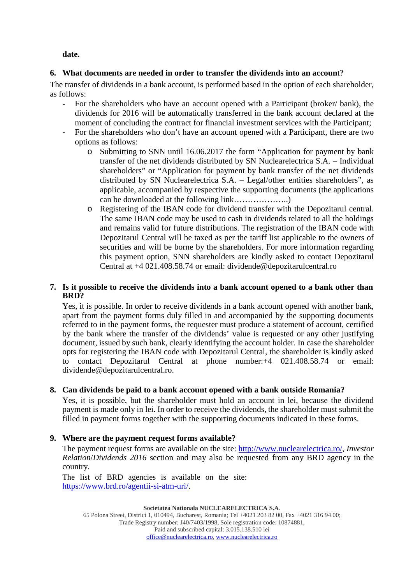**date.** 

# **6. What documents are needed in order to transfer the dividends into an accoun**t?

The transfer of dividends in a bank account, is performed based in the option of each shareholder, as follows:

- For the shareholders who have an account opened with a Participant (broker/ bank), the dividends for 2016 will be automatically transferred in the bank account declared at the moment of concluding the contract for financial investment services with the Participant;
- For the shareholders who don't have an account opened with a Participant, there are two options as follows:
	- o Submitting to SNN until 16.06.2017 the form "Application for payment by bank transfer of the net dividends distributed by SN Nuclearelectrica S.A. – Individual shareholders" or "Application for payment by bank transfer of the net dividends distributed by SN Nuclearelectrica S.A. – Legal/other entities shareholders", as applicable, accompanied by respective the supporting documents (the applications can be downloaded at the following link………………..)
	- o Registering of the IBAN code for dividend transfer with the Depozitarul central. The same IBAN code may be used to cash in dividends related to all the holdings and remains valid for future distributions. The registration of the IBAN code with Depozitarul Central will be taxed as per the tariff list applicable to the owners of securities and will be borne by the shareholders. For more information regarding this payment option, SNN shareholders are kindly asked to contact Depozitarul Central at +4 021.408.58.74 or email: dividende@depozitarulcentral.ro

# **7. Is it possible to receive the dividends into a bank account opened to a bank other than BRD?**

Yes, it is possible. In order to receive dividends in a bank account opened with another bank, apart from the payment forms duly filled in and accompanied by the supporting documents referred to in the payment forms, the requester must produce a statement of account, certified by the bank where the transfer of the dividends' value is requested or any other justifying document, issued by such bank, clearly identifying the account holder. In case the shareholder opts for registering the IBAN code with Depozitarul Central, the shareholder is kindly asked to contact Depozitarul Central at phone number:+4 021.408.58.74 or email: dividende@depozitarulcentral.ro.

# **8. Can dividends be paid to a bank account opened with a bank outside Romania?**

Yes, it is possible, but the shareholder must hold an account in lei, because the dividend payment is made only in lei. In order to receive the dividends, the shareholder must submit the filled in payment forms together with the supporting documents indicated in these forms.

# **9. Where are the payment request forms available?**

The payment request forms are available on the site: http://www.nuclearelectrica.ro/, *Investor Relation*/*Dividends 2016* section and may also be requested from any BRD agency in the country.

The list of BRD agencies is available on the site: https://www.brd.ro/agentii-si-atm-uri/.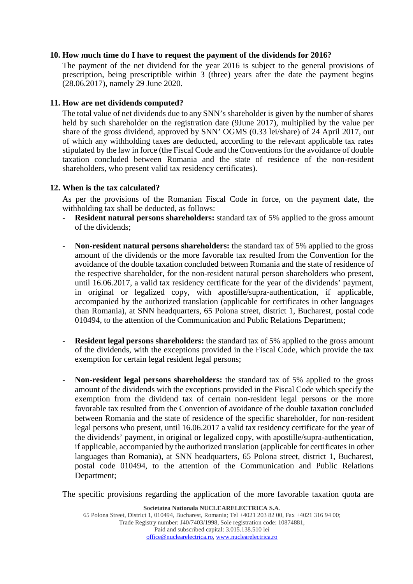### **10. How much time do I have to request the payment of the dividends for 2016?**

The payment of the net dividend for the year 2016 is subject to the general provisions of prescription, being prescriptible within 3 (three) years after the date the payment begins (28.06.2017), namely 29 June 2020.

# **11. How are net dividends computed?**

The total value of net dividends due to any SNN's shareholder is given by the number of shares held by such shareholder on the registration date (9June 2017), multiplied by the value per share of the gross dividend, approved by SNN' OGMS (0.33 lei/share) of 24 April 2017, out of which any withholding taxes are deducted, according to the relevant applicable tax rates stipulated by the law in force (the Fiscal Code and the Conventions for the avoidance of double taxation concluded between Romania and the state of residence of the non-resident shareholders, who present valid tax residency certificates).

### **12. When is the tax calculated?**

As per the provisions of the Romanian Fiscal Code in force, on the payment date, the withholding tax shall be deducted, as follows:

- **Resident natural persons shareholders:** standard tax of 5% applied to the gross amount of the dividends;
- **Non-resident natural persons shareholders:** the standard tax of 5% applied to the gross amount of the dividends or the more favorable tax resulted from the Convention for the avoidance of the double taxation concluded between Romania and the state of residence of the respective shareholder, for the non-resident natural person shareholders who present, until 16.06.2017, a valid tax residency certificate for the year of the dividends' payment, in original or legalized copy, with apostille/supra-authentication, if applicable, accompanied by the authorized translation (applicable for certificates in other languages than Romania), at SNN headquarters, 65 Polona street, district 1, Bucharest, postal code 010494, to the attention of the Communication and Public Relations Department;
- **Resident legal persons shareholders:** the standard tax of 5% applied to the gross amount of the dividends, with the exceptions provided in the Fiscal Code, which provide the tax exemption for certain legal resident legal persons;
- **Non-resident legal persons shareholders:** the standard tax of 5% applied to the gross amount of the dividends with the exceptions provided in the Fiscal Code which specify the exemption from the dividend tax of certain non-resident legal persons or the more favorable tax resulted from the Convention of avoidance of the double taxation concluded between Romania and the state of residence of the specific shareholder, for non-resident legal persons who present, until 16.06.2017 a valid tax residency certificate for the year of the dividends' payment, in original or legalized copy, with apostille/supra-authentication, if applicable, accompanied by the authorized translation (applicable for certificates in other languages than Romania), at SNN headquarters, 65 Polona street, district 1, Bucharest, postal code 010494, to the attention of the Communication and Public Relations Department;

The specific provisions regarding the application of the more favorable taxation quota are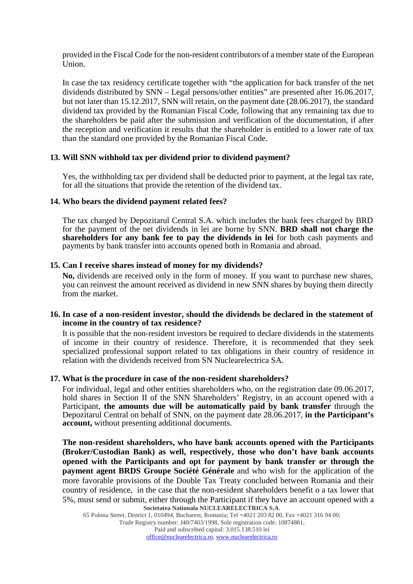provided in the Fiscal Code for the non-resident contributors of a member state of the European Union.

In case the tax residency certificate together with "the application for back transfer of the net dividends distributed by SNN – Legal persons/other entities" are presented after 16.06.2017, but not later than 15.12.2017, SNN will retain, on the payment date (28.06.2017), the standard dividend tax provided by the Romanian Fiscal Code, following that any remaining tax due to the shareholders be paid after the submission and verification of the documentation, if after the reception and verification it results that the shareholder is entitled to a lower rate of tax than the standard one provided by the Romanian Fiscal Code.

### **13. Will SNN withhold tax per dividend prior to dividend payment?**

Yes, the withholding tax per dividend shall be deducted prior to payment, at the legal tax rate, for all the situations that provide the retention of the dividend tax.

#### **14. Who bears the dividend payment related fees?**

The tax charged by Depozitarul Central S.A. which includes the bank fees charged by BRD for the payment of the net dividends in lei are borne by SNN. **BRD shall not charge the shareholders for any bank fee to pay the dividends in lei** for both cash payments and payments by bank transfer into accounts opened both in Romania and abroad.

#### **15. Can I receive shares instead of money for my dividends?**

**No,** dividends are received only in the form of money. If you want to purchase new shares, you can reinvest the amount received as dividend in new SNN shares by buying them directly from the market.

### **16. In case of a non-resident investor, should the dividends be declared in the statement of income in the country of tax residence?**

It is possible that the non-resident investors be required to declare dividends in the statements of income in their country of residence. Therefore, it is recommended that they seek specialized professional support related to tax obligations in their country of residence in relation with the dividends received from SN Nuclearelectrica SA.

#### **17. What is the procedure in case of the non-resident shareholders?**

For individual, legal and other entities shareholders who, on the registration date 09.06.2017, hold shares in Section II of the SNN Shareholders' Registry, in an account opened with a Participant, **the amounts due will be automatically paid by bank transfer** through the Depozitarul Central on behalf of SNN, on the payment date 28.06.2017, **in the Participant's account,** without presenting additional documents.

**Societatea Nationala NUCLEARELECTRICA S.A**. **The non-resident shareholders, who have bank accounts opened with the Participants (Broker/Custodian Bank) as well, respectively, those who don't have bank accounts opened with the Participants and opt for payment by bank transfer or through the payment agent BRDS Groupe Société Générale** and who wish for the application of the more favorable provisions of the Double Tax Treaty concluded between Romania and their country of residence, in the case that the non-resident shareholders benefit o a tax lower that 5%, must send or submit, either through the Participant if they have an account opened with a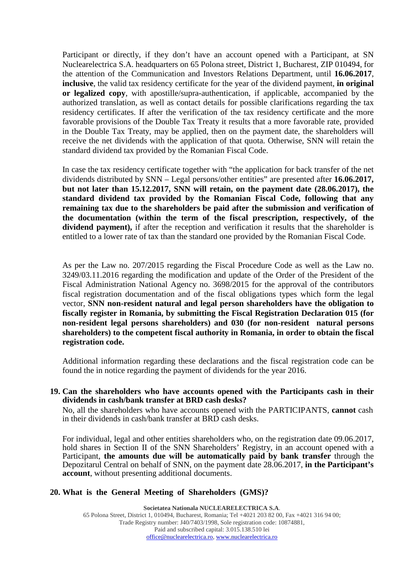Participant or directly, if they don't have an account opened with a Participant, at SN Nuclearelectrica S.A. headquarters on 65 Polona street, District 1, Bucharest, ZIP 010494, for the attention of the Communication and Investors Relations Department, until **16.06.2017**, **inclusive**, the valid tax residency certificate for the year of the dividend payment, **in original or legalized copy**, with apostille/supra-authentication, if applicable, accompanied by the authorized translation, as well as contact details for possible clarifications regarding the tax residency certificates. If after the verification of the tax residency certificate and the more favorable provisions of the Double Tax Treaty it results that a more favorable rate, provided in the Double Tax Treaty, may be applied, then on the payment date, the shareholders will receive the net dividends with the application of that quota. Otherwise, SNN will retain the standard dividend tax provided by the Romanian Fiscal Code.

In case the tax residency certificate together with "the application for back transfer of the net dividends distributed by SNN – Legal persons/other entities" are presented after **16.06.2017, but not later than 15.12.2017, SNN will retain, on the payment date (28.06.2017), the standard dividend tax provided by the Romanian Fiscal Code, following that any remaining tax due to the shareholders be paid after the submission and verification of the documentation (within the term of the fiscal prescription, respectively, of the dividend payment),** if after the reception and verification it results that the shareholder is entitled to a lower rate of tax than the standard one provided by the Romanian Fiscal Code.

As per the Law no. 207/2015 regarding the Fiscal Procedure Code as well as the Law no. 3249/03.11.2016 regarding the modification and update of the Order of the President of the Fiscal Administration National Agency no. 3698/2015 for the approval of the contributors fiscal registration documentation and of the fiscal obligations types which form the legal vector, **SNN non-resident natural and legal person shareholders have the obligation to fiscally register in Romania, by submitting the Fiscal Registration Declaration 015 (for non-resident legal persons shareholders) and 030 (for non-resident natural persons shareholders) to the competent fiscal authority in Romania, in order to obtain the fiscal registration code.**

Additional information regarding these declarations and the fiscal registration code can be found the in notice regarding the payment of dividends for the year 2016.

**19. Can the shareholders who have accounts opened with the Participants cash in their dividends in cash/bank transfer at BRD cash desks?** 

No, all the shareholders who have accounts opened with the PARTICIPANTS, **cannot** cash in their dividends in cash/bank transfer at BRD cash desks.

For individual, legal and other entities shareholders who, on the registration date 09.06.2017, hold shares in Section II of the SNN Shareholders' Registry, in an account opened with a Participant, **the amounts due will be automatically paid by bank transfer** through the Depozitarul Central on behalf of SNN, on the payment date 28.06.2017, **in the Participant's account**, without presenting additional documents.

#### **20. What is the General Meeting of Shareholders (GMS)?**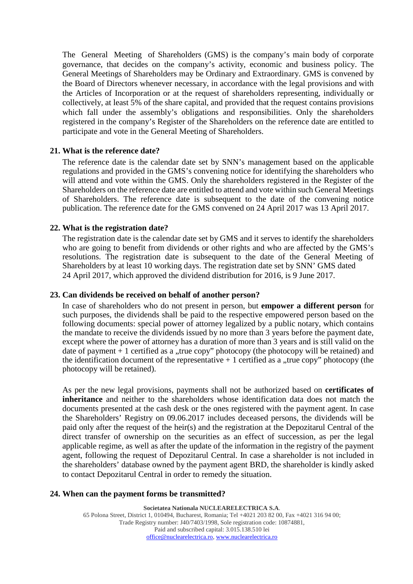The General Meeting of Shareholders (GMS) is the company's main body of corporate governance, that decides on the company's activity, economic and business policy. The General Meetings of Shareholders may be Ordinary and Extraordinary. GMS is convened by the Board of Directors whenever necessary, in accordance with the legal provisions and with the Articles of Incorporation or at the request of shareholders representing, individually or collectively, at least 5% of the share capital, and provided that the request contains provisions which fall under the assembly's obligations and responsibilities. Only the shareholders registered in the company's Register of the Shareholders on the reference date are entitled to participate and vote in the General Meeting of Shareholders.

### **21. What is the reference date?**

The reference date is the calendar date set by SNN's management based on the applicable regulations and provided in the GMS's convening notice for identifying the shareholders who will attend and vote within the GMS. Only the shareholders registered in the Register of the Shareholders on the reference date are entitled to attend and vote within such General Meetings of Shareholders. The reference date is subsequent to the date of the convening notice publication. The reference date for the GMS convened on 24 April 2017 was 13 April 2017.

### **22. What is the registration date?**

The registration date is the calendar date set by GMS and it serves to identify the shareholders who are going to benefit from dividends or other rights and who are affected by the GMS's resolutions. The registration date is subsequent to the date of the General Meeting of Shareholders by at least 10 working days. The registration date set by SNN' GMS dated 24 April 2017, which approved the dividend distribution for 2016, is 9 June 2017.

# **23. Can dividends be received on behalf of another person?**

In case of shareholders who do not present in person, but **empower a different person** for such purposes, the dividends shall be paid to the respective empowered person based on the following documents: special power of attorney legalized by a public notary, which contains the mandate to receive the dividends issued by no more than 3 years before the payment date, except where the power of attorney has a duration of more than 3 years and is still valid on the date of payment  $+1$  certified as a "true copy" photocopy (the photocopy will be retained) and the identification document of the representative  $+1$  certified as a "true copy" photocopy (the photocopy will be retained).

As per the new legal provisions, payments shall not be authorized based on **certificates of inheritance** and neither to the shareholders whose identification data does not match the documents presented at the cash desk or the ones registered with the payment agent. In case the Shareholders' Registry on 09.06.2017 includes deceased persons, the dividends will be paid only after the request of the heir(s) and the registration at the Depozitarul Central of the direct transfer of ownership on the securities as an effect of succession, as per the legal applicable regime, as well as after the update of the information in the registry of the payment agent, following the request of Depozitarul Central. In case a shareholder is not included in the shareholders' database owned by the payment agent BRD, the shareholder is kindly asked to contact Depozitarul Central in order to remedy the situation.

#### **24. When can the payment forms be transmitted?**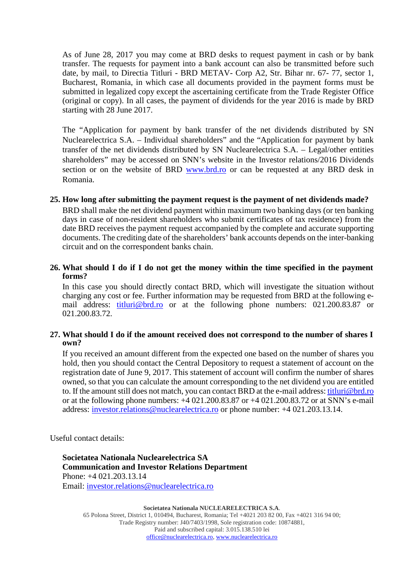As of June 28, 2017 you may come at BRD desks to request payment in cash or by bank transfer. The requests for payment into a bank account can also be transmitted before such date, by mail, to Directia Titluri - BRD METAV- Corp A2, Str. Bihar nr. 67- 77, sector 1, Bucharest, Romania, in which case all documents provided in the payment forms must be submitted in legalized copy except the ascertaining certificate from the Trade Register Office (original or copy). In all cases, the payment of dividends for the year 2016 is made by BRD starting with 28 June 2017.

The "Application for payment by bank transfer of the net dividends distributed by SN Nuclearelectrica S.A. – Individual shareholders" and the "Application for payment by bank transfer of the net dividends distributed by SN Nuclearelectrica S.A. – Legal/other entities shareholders" may be accessed on SNN's website in the Investor relations/2016 Dividends section or on the website of BRD [www.brd.ro](http://www.brd.ro/) or can be requested at any BRD desk in Romania.

# **25. How long after submitting the payment request is the payment of net dividends made?**

BRD shall make the net dividend payment within maximum two banking days (or ten banking days in case of non-resident shareholders who submit certificates of tax residence) from the date BRD receives the payment request accompanied by the complete and accurate supporting documents. The crediting date of the shareholders' bank accounts depends on the inter-banking circuit and on the correspondent banks chain.

# **26. What should I do if I do not get the money within the time specified in the payment forms?**

In this case you should directly contact BRD, which will investigate the situation without charging any cost or fee. Further information may be requested from BRD at the following email address: *titluri@brd.ro* or at the following phone numbers: 021.200.83.87 or 021.200.83.72.

# **27. What should I do if the amount received does not correspond to the number of shares I own?**

If you received an amount different from the expected one based on the number of shares you hold, then you should contact the Central Depository to request a statement of account on the registration date of June 9, 2017. This statement of account will confirm the number of shares owned, so that you can calculate the amount corresponding to the net dividend you are entitled to. If the amount still does not match, you can contact BRD at the e-mail address: titluri@brd.ro or at the following phone numbers: +4 021.200.83.87 or +4 021.200.83.72 or at SNN's e-mail address: investor.relations@nuclearelectrica.ro or phone number: +4 021.203.13.14.

Useful contact details:

**Societatea Nationala Nuclearelectrica SA Communication and Investor Relations Department** Phone: +4 021.203.13.14 Email: [investor.relations@nuclearelectrica.ro](mailto:investor.relations@nuclearelectrica.ro)